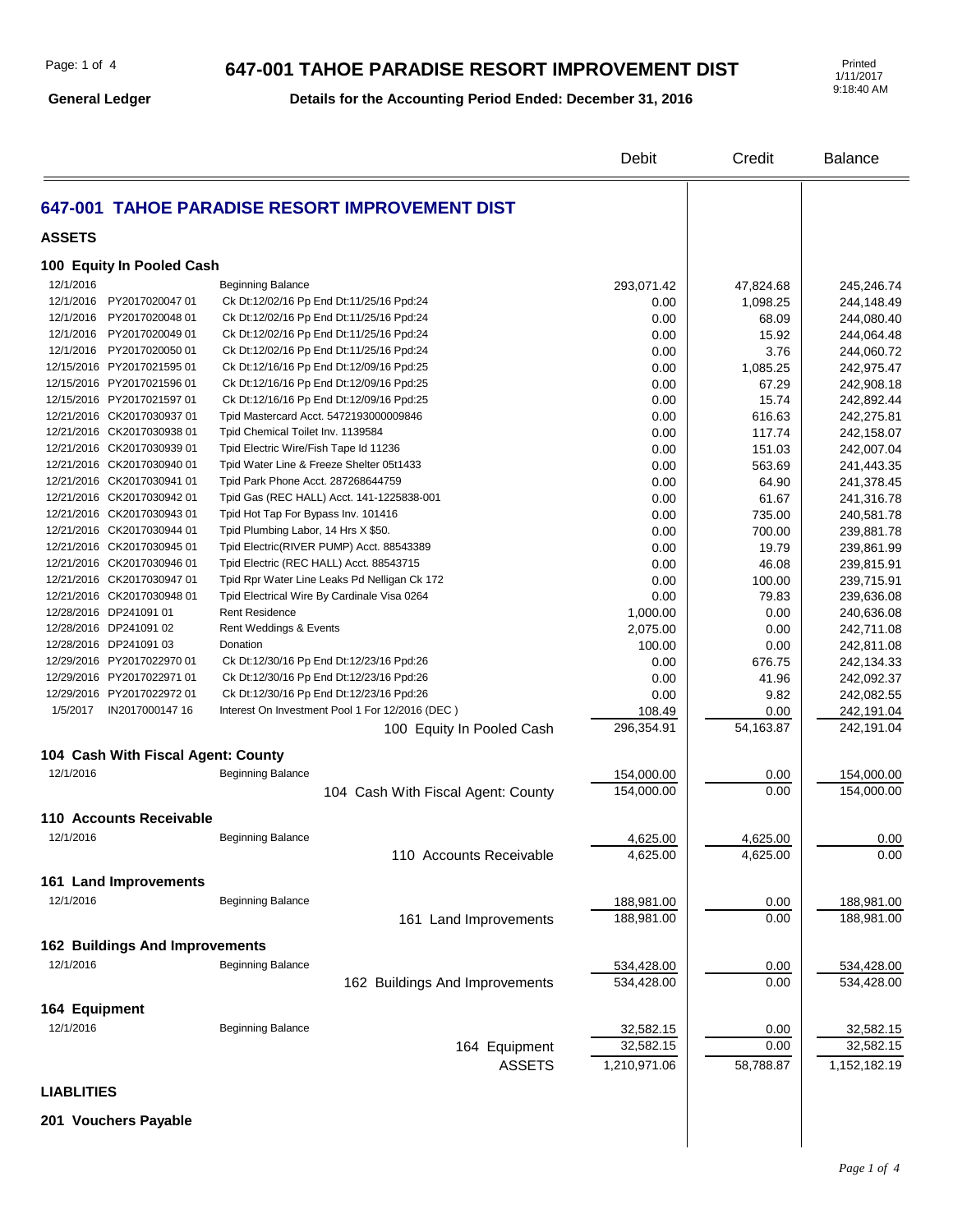**General Ledger**

#### **Details for the Accounting Period Ended: December 31, 2016**

1/11/2017 9:18:40 AM

|                                        |                                                                                      | Debit        | Credit        | <b>Balance</b>           |
|----------------------------------------|--------------------------------------------------------------------------------------|--------------|---------------|--------------------------|
|                                        | 647-001 TAHOE PARADISE RESORT IMPROVEMENT DIST                                       |              |               |                          |
| <b>ASSETS</b>                          |                                                                                      |              |               |                          |
| 100 Equity In Pooled Cash              |                                                                                      |              |               |                          |
|                                        |                                                                                      |              |               |                          |
| 12/1/2016<br>12/1/2016 PY2017020047 01 | <b>Beginning Balance</b><br>Ck Dt:12/02/16 Pp End Dt:11/25/16 Ppd:24                 | 293,071.42   | 47,824.68     | 245,246.74               |
| 12/1/2016 PY2017020048 01              |                                                                                      | 0.00         | 1,098.25      | 244,148.49               |
| 12/1/2016 PY2017020049 01              | Ck Dt:12/02/16 Pp End Dt:11/25/16 Ppd:24                                             | 0.00         | 68.09         | 244,080.40               |
| 12/1/2016 PY2017020050 01              | Ck Dt:12/02/16 Pp End Dt:11/25/16 Ppd:24<br>Ck Dt:12/02/16 Pp End Dt:11/25/16 Ppd:24 | 0.00<br>0.00 | 15.92<br>3.76 | 244,064.48<br>244,060.72 |
| 12/15/2016 PY2017021595 01             | Ck Dt:12/16/16 Pp End Dt:12/09/16 Ppd:25                                             | 0.00         | 1,085.25      | 242,975.47               |
| 12/15/2016 PY2017021596 01             | Ck Dt:12/16/16 Pp End Dt:12/09/16 Ppd:25                                             | 0.00         | 67.29         | 242,908.18               |
| 12/15/2016 PY2017021597 01             | Ck Dt:12/16/16 Pp End Dt:12/09/16 Ppd:25                                             | 0.00         | 15.74         | 242,892.44               |
| 12/21/2016 CK2017030937 01             | Tpid Mastercard Acct. 5472193000009846                                               | 0.00         | 616.63        | 242,275.81               |
| 12/21/2016 CK2017030938 01             | Tpid Chemical Toilet Inv. 1139584                                                    | 0.00         | 117.74        | 242,158.07               |
| 12/21/2016 CK2017030939 01             | Tpid Electric Wire/Fish Tape Id 11236                                                | 0.00         | 151.03        | 242,007.04               |
| 12/21/2016 CK2017030940 01             | Tpid Water Line & Freeze Shelter 05t1433                                             | 0.00         | 563.69        | 241,443.35               |
| 12/21/2016 CK2017030941 01             | Tpid Park Phone Acct. 287268644759                                                   | 0.00         | 64.90         | 241,378.45               |
| 12/21/2016 CK2017030942 01             | Tpid Gas (REC HALL) Acct. 141-1225838-001                                            | 0.00         | 61.67         | 241,316.78               |
| 12/21/2016 CK2017030943 01             | Tpid Hot Tap For Bypass Inv. 101416                                                  | 0.00         | 735.00        | 240,581.78               |
| 12/21/2016 CK2017030944 01             | Tpid Plumbing Labor, 14 Hrs X \$50.                                                  | 0.00         | 700.00        | 239,881.78               |
| 12/21/2016 CK2017030945 01             | Tpid Electric (RIVER PUMP) Acct. 88543389                                            | 0.00         | 19.79         | 239,861.99               |
| 12/21/2016 CK2017030946 01             | Tpid Electric (REC HALL) Acct. 88543715                                              | 0.00         | 46.08         | 239,815.91               |
| 12/21/2016 CK2017030947 01             | Tpid Rpr Water Line Leaks Pd Nelligan Ck 172                                         | 0.00         | 100.00        | 239,715.91               |
| 12/21/2016 CK2017030948 01             | Tpid Electrical Wire By Cardinale Visa 0264                                          | 0.00         | 79.83         | 239,636.08               |
| 12/28/2016 DP241091 01                 | <b>Rent Residence</b>                                                                | 1,000.00     | 0.00          | 240,636.08               |
| 12/28/2016 DP241091 02                 | Rent Weddings & Events                                                               | 2,075.00     | 0.00          | 242,711.08               |
| 12/28/2016 DP241091 03                 | Donation                                                                             | 100.00       | 0.00          | 242,811.08               |
| 12/29/2016 PY2017022970 01             | Ck Dt:12/30/16 Pp End Dt:12/23/16 Ppd:26                                             | 0.00         | 676.75        | 242,134.33               |
| 12/29/2016 PY2017022971 01             | Ck Dt:12/30/16 Pp End Dt:12/23/16 Ppd:26                                             | 0.00         | 41.96         | 242,092.37               |
| 12/29/2016 PY2017022972 01             | Ck Dt:12/30/16 Pp End Dt:12/23/16 Ppd:26                                             | 0.00         | 9.82          | 242,082.55               |
|                                        | Interest On Investment Pool 1 For 12/2016 (DEC)                                      | 108.49       | 0.00          | 242,191.04               |
|                                        | 100 Equity In Pooled Cash                                                            | 296,354.91   | 54,163.87     | 242,191.04               |
| 104 Cash With Fiscal Agent: County     |                                                                                      |              |               |                          |
| 12/1/2016                              | <b>Beginning Balance</b>                                                             | 154,000.00   | 0.00          | 154,000.00               |
|                                        | 104 Cash With Fiscal Agent: County                                                   | 154,000.00   | 0.00          | 154,000.00               |
| 110 Accounts Receivable                |                                                                                      |              |               |                          |
|                                        |                                                                                      |              |               |                          |
| 12/1/2016                              | <b>Beginning Balance</b>                                                             | 4,625.00     | 4,625.00      | 0.00                     |
|                                        | 110 Accounts Receivable                                                              | 4,625.00     | 4,625.00      | 0.00                     |
| 161 Land Improvements                  |                                                                                      |              |               |                          |
| 12/1/2016                              | <b>Beginning Balance</b>                                                             | 188,981.00   | 0.00          | 188,981.00               |
|                                        | 161 Land Improvements                                                                | 188,981.00   | 0.00          | 188,981.00               |
|                                        |                                                                                      |              |               |                          |
| <b>162 Buildings And Improvements</b>  |                                                                                      |              |               |                          |
| 12/1/2016                              | <b>Beginning Balance</b>                                                             | 534,428.00   | 0.00          | 534,428.00               |
|                                        | 162 Buildings And Improvements                                                       | 534,428.00   | 0.00          | 534,428.00               |
| 164 Equipment                          |                                                                                      |              |               |                          |
| 12/1/2016                              | <b>Beginning Balance</b>                                                             | 32,582.15    | 0.00          | 32,582.15                |
|                                        | 164 Equipment                                                                        | 32,582.15    | 0.00          | 32,582.15                |
|                                        | <b>ASSETS</b>                                                                        | 1,210,971.06 | 58,788.87     | 1,152,182.19             |
| <b>LIABLITIES</b>                      |                                                                                      |              |               |                          |
|                                        |                                                                                      |              |               |                          |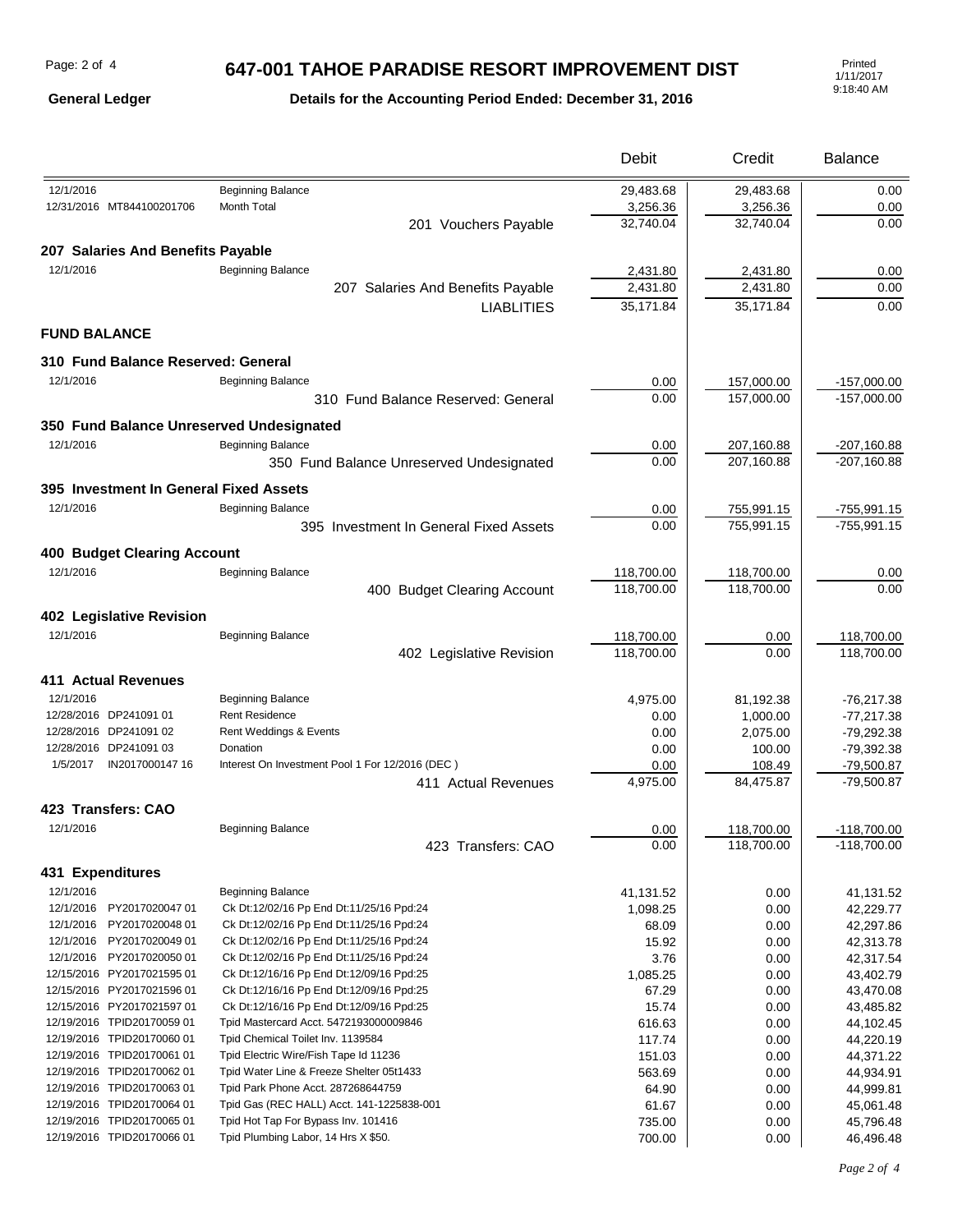**General Ledger**

#### **Details for the Accounting Period Ended: December 31, 2016**

|                                                          |                                                                            | Debit        | Credit                   | <b>Balance</b>                 |
|----------------------------------------------------------|----------------------------------------------------------------------------|--------------|--------------------------|--------------------------------|
| 12/1/2016                                                | <b>Beginning Balance</b>                                                   | 29,483.68    | 29,483.68                | 0.00                           |
| 12/31/2016 MT844100201706                                | Month Total                                                                | 3,256.36     | 3,256.36                 | 0.00                           |
|                                                          | 201 Vouchers Payable                                                       | 32,740.04    | 32,740.04                | 0.00                           |
| 207 Salaries And Benefits Payable                        |                                                                            |              |                          |                                |
| 12/1/2016                                                | <b>Beginning Balance</b>                                                   | 2,431.80     | 2,431.80                 | 0.00                           |
|                                                          | 207 Salaries And Benefits Payable                                          | 2,431.80     | 2,431.80                 | 0.00                           |
|                                                          | <b>LIABLITIES</b>                                                          | 35,171.84    | 35,171.84                | 0.00                           |
| <b>FUND BALANCE</b>                                      |                                                                            |              |                          |                                |
| 310 Fund Balance Reserved: General                       |                                                                            |              |                          |                                |
| 12/1/2016                                                | <b>Beginning Balance</b>                                                   | 0.00         | 157,000.00               | $-157,000.00$                  |
|                                                          | 310 Fund Balance Reserved: General                                         | 0.00         | 157,000.00               | $-157,000.00$                  |
| 350 Fund Balance Unreserved Undesignated                 |                                                                            |              |                          |                                |
| 12/1/2016                                                | <b>Beginning Balance</b>                                                   |              |                          |                                |
|                                                          |                                                                            | 0.00<br>0.00 | 207,160.88<br>207,160.88 | $-207,160.88$<br>$-207,160.88$ |
|                                                          | 350 Fund Balance Unreserved Undesignated                                   |              |                          |                                |
| 395 Investment In General Fixed Assets                   |                                                                            |              |                          |                                |
| 12/1/2016                                                | <b>Beginning Balance</b>                                                   | 0.00         | 755,991.15               | $-755,991.15$                  |
|                                                          | 395 Investment In General Fixed Assets                                     | 0.00         | 755,991.15               | $-755,991.15$                  |
| <b>400 Budget Clearing Account</b>                       |                                                                            |              |                          |                                |
| 12/1/2016                                                | <b>Beginning Balance</b>                                                   | 118,700.00   | 118,700.00               | 0.00                           |
|                                                          | 400 Budget Clearing Account                                                | 118,700.00   | 118,700.00               | 0.00                           |
| 402 Legislative Revision                                 |                                                                            |              |                          |                                |
| 12/1/2016                                                | <b>Beginning Balance</b>                                                   | 118,700.00   | 0.00                     | 118,700.00                     |
|                                                          | 402 Legislative Revision                                                   | 118,700.00   | 0.00                     | 118,700.00                     |
| 411 Actual Revenues                                      |                                                                            |              |                          |                                |
| 12/1/2016                                                | <b>Beginning Balance</b>                                                   | 4,975.00     | 81,192.38                | $-76,217.38$                   |
| 12/28/2016 DP241091 01                                   | <b>Rent Residence</b>                                                      | 0.00         | 1,000.00                 | $-77,217.38$                   |
| 12/28/2016 DP241091 02                                   | Rent Weddings & Events                                                     | 0.00         | 2,075.00                 | $-79,292.38$                   |
| 12/28/2016 DP241091 03                                   | Donation                                                                   | 0.00         | 100.00                   | $-79,392.38$                   |
|                                                          | Interest On Investment Pool 1 For 12/2016 (DEC)                            | 0.00         | 108.49                   | $-79,500.87$                   |
|                                                          | 411 Actual Revenues                                                        | 4,975.00     | 84,475.87                | $-79,500.87$                   |
| 423 Transfers: CAO                                       |                                                                            |              |                          |                                |
| 12/1/2016                                                | <b>Beginning Balance</b>                                                   | 0.00         | 118,700.00               | $-118.700.00$                  |
|                                                          | 423 Transfers: CAO                                                         | 0.00         | 118,700.00               | $-118,700.00$                  |
| 431 Expenditures                                         |                                                                            |              |                          |                                |
| 12/1/2016                                                | <b>Beginning Balance</b>                                                   | 41,131.52    | 0.00                     | 41,131.52                      |
| 12/1/2016 PY2017020047 01                                | Ck Dt:12/02/16 Pp End Dt:11/25/16 Ppd:24                                   | 1,098.25     | 0.00                     | 42,229.77                      |
| PY2017020048 01<br>12/1/2016                             | Ck Dt:12/02/16 Pp End Dt:11/25/16 Ppd:24                                   | 68.09        | 0.00                     | 42,297.86                      |
| 12/1/2016 PY2017020049 01                                | Ck Dt:12/02/16 Pp End Dt:11/25/16 Ppd:24                                   | 15.92        | 0.00                     | 42,313.78                      |
| 12/1/2016 PY2017020050 01                                | Ck Dt:12/02/16 Pp End Dt:11/25/16 Ppd:24                                   | 3.76         | 0.00                     | 42,317.54                      |
| 12/15/2016 PY2017021595 01                               | Ck Dt:12/16/16 Pp End Dt:12/09/16 Ppd:25                                   | 1,085.25     | 0.00                     | 43,402.79                      |
| 12/15/2016 PY2017021596 01                               | Ck Dt:12/16/16 Pp End Dt:12/09/16 Ppd:25                                   | 67.29        | 0.00                     | 43,470.08                      |
| 12/15/2016 PY2017021597 01                               | Ck Dt:12/16/16 Pp End Dt:12/09/16 Ppd:25                                   | 15.74        | 0.00                     | 43,485.82                      |
| 12/19/2016 TPID20170059 01                               | Tpid Mastercard Acct. 5472193000009846                                     | 616.63       | 0.00                     | 44,102.45                      |
| 12/19/2016 TPID20170060 01                               | Tpid Chemical Toilet Inv. 1139584                                          | 117.74       | 0.00                     | 44,220.19                      |
| 12/19/2016 TPID20170061 01                               | Tpid Electric Wire/Fish Tape Id 11236                                      | 151.03       | 0.00                     | 44,371.22                      |
| 12/19/2016 TPID20170062 01                               | Tpid Water Line & Freeze Shelter 05t1433                                   | 563.69       | 0.00                     | 44,934.91                      |
| 12/19/2016 TPID20170063 01                               | Tpid Park Phone Acct. 287268644759                                         | 64.90        | 0.00                     | 44,999.81                      |
| 12/19/2016 TPID20170064 01                               | Tpid Gas (REC HALL) Acct. 141-1225838-001                                  | 61.67        | 0.00                     | 45,061.48                      |
| 12/19/2016 TPID20170065 01<br>12/19/2016 TPID20170066 01 | Tpid Hot Tap For Bypass Inv. 101416<br>Tpid Plumbing Labor, 14 Hrs X \$50. | 735.00       | 0.00                     | 45,796.48                      |
|                                                          |                                                                            | 700.00       | 0.00                     | 46,496.48                      |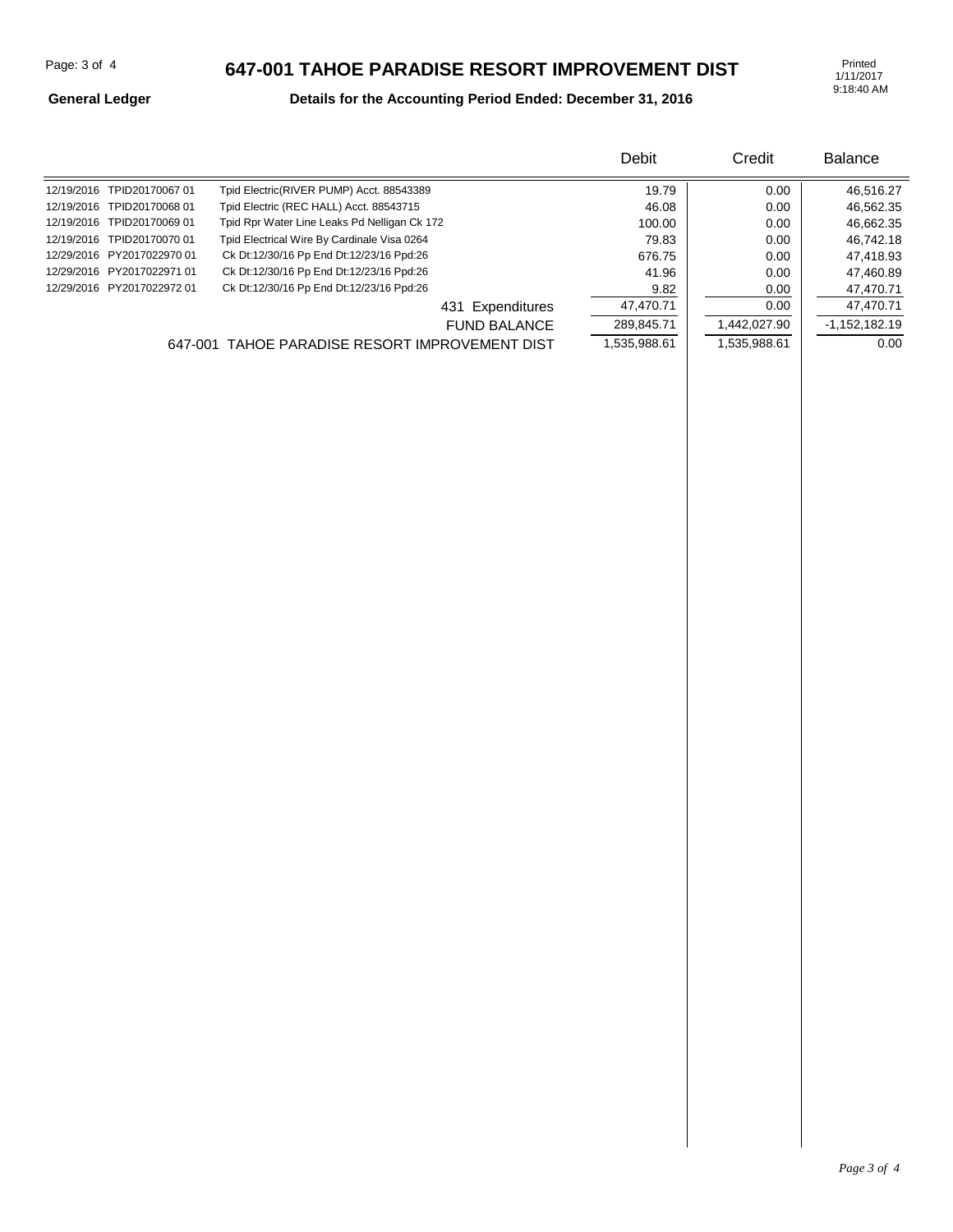1/11/2017 9:18:40 AM

#### **General Ledger**

### **Details for the Accounting Period Ended: December 31, 2016**

|                            |                                                | Debit        | Credit       | <b>Balance</b>  |
|----------------------------|------------------------------------------------|--------------|--------------|-----------------|
| 12/19/2016 TPID20170067 01 | Tpid Electric(RIVER PUMP) Acct. 88543389       | 19.79        | 0.00         | 46,516.27       |
| 12/19/2016 TPID20170068 01 | Tpid Electric (REC HALL) Acct. 88543715        | 46.08        | 0.00         | 46,562.35       |
| 12/19/2016 TPID20170069 01 | Tpid Rpr Water Line Leaks Pd Nelligan Ck 172   | 100.00       | 0.00         | 46,662.35       |
| 12/19/2016 TPID20170070 01 | Tpid Electrical Wire By Cardinale Visa 0264    | 79.83        | 0.00         | 46,742.18       |
| 12/29/2016 PY2017022970 01 | Ck Dt:12/30/16 Pp End Dt:12/23/16 Ppd:26       | 676.75       | 0.00         | 47,418.93       |
| 12/29/2016 PY2017022971 01 | Ck Dt:12/30/16 Pp End Dt:12/23/16 Ppd:26       | 41.96        | 0.00         | 47,460.89       |
| 12/29/2016 PY2017022972 01 | Ck Dt:12/30/16 Pp End Dt:12/23/16 Ppd:26       | 9.82         | 0.00         | 47,470.71       |
|                            | 431 Expenditures                               | 47,470.71    | 0.00         | 47,470.71       |
|                            | <b>FUND BALANCE</b>                            | 289,845.71   | 1,442,027.90 | $-1,152,182.19$ |
|                            | 647-001 TAHOE PARADISE RESORT IMPROVEMENT DIST | 1,535,988.61 | 1,535,988.61 | 0.00            |
|                            |                                                |              |              |                 |